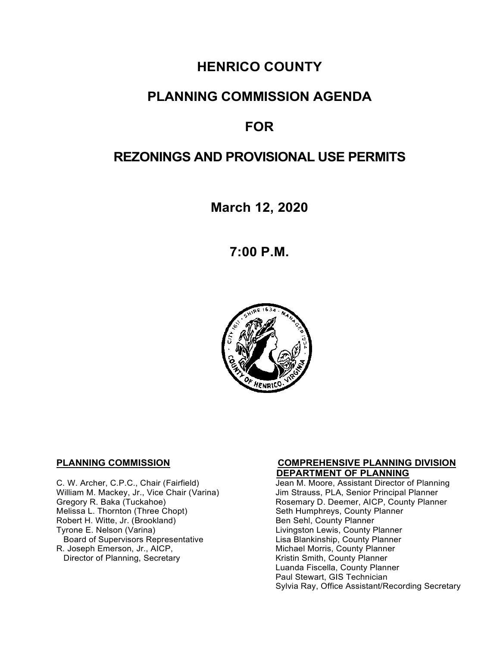# **HENRICO COUNTY**

# **PLANNING COMMISSION AGENDA**

# **FOR**

# **REZONINGS AND PROVISIONAL USE PERMITS**

**March 12, 2020**

**7:00 P.M.**



**C. W. Archer, C.P.C., Chair (Fairfield) C. W. Archer, C.P.C., Chair (Fairfield)** Jean M. Moore, Assistant Director o William M. Mackey, Jr., Vice Chair (Varina)<br>Gregory R. Baka (Tuckahoe) Robert H. Witte, Jr. (Brookland)<br>Tyrone E. Nelson (Varina) Board of Supervisors Representative<br>R. Joseph Emerson, Jr., AICP, Director of Planning, Secretary

# **PLANNING COMMISSION COMPREHENSIVE PLANNING DIVISION**

Jean M. Moore, Assistant Director of Planning<br>Jim Strauss, PLA, Senior Principal Planner Gregory R. Baka (Tuckahoe) **Rosemary D. Deemer, AICP, County Planner**<br>Melissa L. Thornton (Three Chopt) **Rosemary Seth Humphreys, County Planner** Seth Humphreys, County Planner<br>Ben Sehl, County Planner Livingston Lewis, County Planner<br>Lisa Blankinship, County Planner Michael Morris, County Planner<br>Kristin Smith, County Planner Luanda Fiscella, County Planner Paul Stewart, GIS Technician Sylvia Ray, Office Assistant/Recording Secretary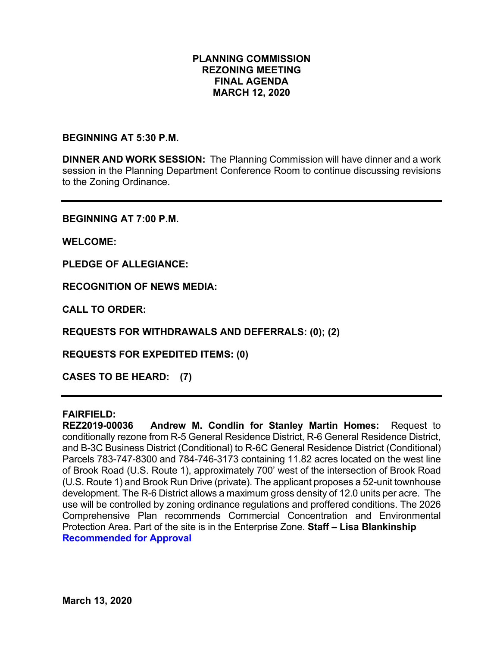#### **PLANNING COMMISSION REZONING MEETING FINAL AGENDA MARCH 12, 2020**

#### **BEGINNING AT 5:30 P.M.**

**DINNER AND WORK SESSION:** The Planning Commission will have dinner and a work session in the Planning Department Conference Room to continue discussing revisions to the Zoning Ordinance.

**BEGINNING AT 7:00 P.M.**

**WELCOME:**

**PLEDGE OF ALLEGIANCE:**

**RECOGNITION OF NEWS MEDIA:**

**CALL TO ORDER:**

**REQUESTS FOR WITHDRAWALS AND DEFERRALS: (0); (2)**

**REQUESTS FOR EXPEDITED ITEMS: (0)**

**CASES TO BE HEARD: (7)**

#### **FAIRFIELD:**

**REZ2019-00036 Andrew M. Condlin for Stanley Martin Homes:** Request to conditionally rezone from R-5 General Residence District, R-6 General Residence District, and B-3C Business District (Conditional) to R-6C General Residence District (Conditional) Parcels 783-747-8300 and 784-746-3173 containing 11.82 acres located on the west line of Brook Road (U.S. Route 1), approximately 700' west of the intersection of Brook Road (U.S. Route 1) and Brook Run Drive (private). The applicant proposes a 52-unit townhouse development. The R-6 District allows a maximum gross density of 12.0 units per acre. The use will be controlled by zoning ordinance regulations and proffered conditions. The 2026 Comprehensive Plan recommends Commercial Concentration and Environmental Protection Area. Part of the site is in the Enterprise Zone. **Staff – Lisa Blankinship Recommended for Approval**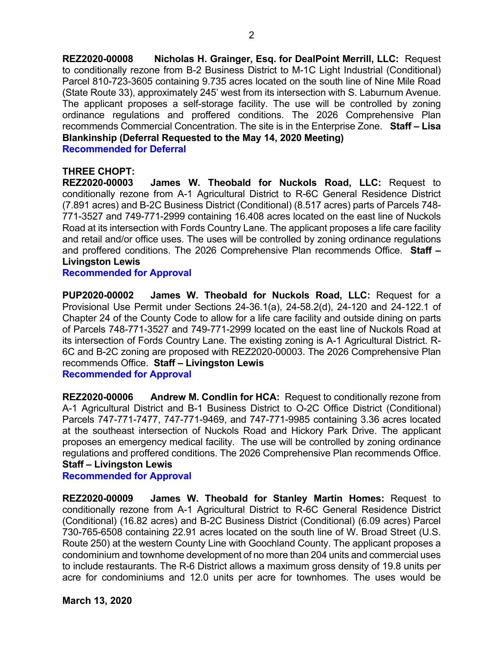**REZ2020-00008 Nicholas H. Grainger, Esq. for DealPoint Merrill, LLC:** Request to conditionally rezone from B-2 Business District to M-1C Light Industrial (Conditional) Parcel 810-723-3605 containing 9.735 acres located on the south line of Nine Mile Road (State Route 33), approximately 245' west from its intersection with S. Laburnum Avenue. The applicant proposes a self-storage facility. The use will be controlled by zoning ordinance regulations and proffered conditions. The 2026 Comprehensive Plan recommends Commercial Concentration. The site is in the Enterprise Zone. **Staff – Lisa Blankinship (Deferral Requested to the May 14, 2020 Meeting)**

2

**Recommended for Deferral**

#### **THREE CHOPT:**

**REZ2020-00003 James W. Theobald for Nuckols Road, LLC:** Request to conditionally rezone from A-1 Agricultural District to R-6C General Residence District (7.891 acres) and B-2C Business District (Conditional) (8.517 acres) parts of Parcels 748- 771-3527 and 749-771-2999 containing 16.408 acres located on the east line of Nuckols Road at its intersection with Fords Country Lane. The applicant proposes a life care facility and retail and/or office uses. The uses will be controlled by zoning ordinance regulations and proffered conditions. The 2026 Comprehensive Plan recommends Office. **Staff – Livingston Lewis**

**Recommended for Approval**

**PUP2020-00002 James W. Theobald for Nuckols Road, LLC:** Request for a Provisional Use Permit under Sections 24-36.1(a), 24-58.2(d), 24-120 and 24-122.1 of Chapter 24 of the County Code to allow for a life care facility and outside dining on parts of Parcels 748-771-3527 and 749-771-2999 located on the east line of Nuckols Road at its intersection of Fords Country Lane. The existing zoning is A-1 Agricultural District. R-6C and B-2C zoning are proposed with REZ2020-00003. The 2026 Comprehensive Plan recommends Office. **Staff – Livingston Lewis**

**Recommended for Approval**

**REZ2020-00006 Andrew M. Condlin for HCA:** Request to conditionally rezone from A-1 Agricultural District and B-1 Business District to O-2C Office District (Conditional) Parcels 747-771-7477, 747-771-9469, and 747-771-9985 containing 3.36 acres located at the southeast intersection of Nuckols Road and Hickory Park Drive. The applicant proposes an emergency medical facility. The use will be controlled by zoning ordinance regulations and proffered conditions. The 2026 Comprehensive Plan recommends Office. **Staff – Livingston Lewis**

#### **Recommended for Approval**

**REZ2020-00009 James W. Theobald for Stanley Martin Homes:** Request to conditionally rezone from A-1 Agricultural District to R-6C General Residence District (Conditional) (16.82 acres) and B-2C Business District (Conditional) (6.09 acres) Parcel 730-765-6508 containing 22.91 acres located on the south line of W. Broad Street (U.S. Route 250) at the western County Line with Goochland County. The applicant proposes a condominium and townhome development of no more than 204 units and commercial uses to include restaurants. The R-6 District allows a maximum gross density of 19.8 units per acre for condominiums and 12.0 units per acre for townhomes. The uses would be

**March 13, 2020**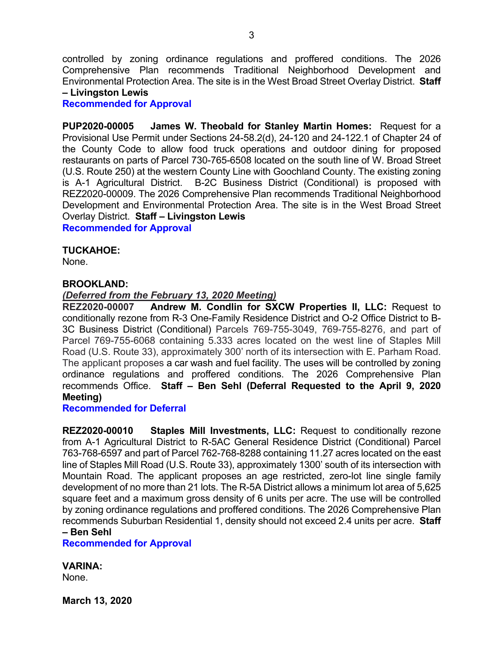controlled by zoning ordinance regulations and proffered conditions. The 2026 Comprehensive Plan recommends Traditional Neighborhood Development and Environmental Protection Area. The site is in the West Broad Street Overlay District. **Staff – Livingston Lewis**

#### **Recommended for Approval**

**PUP2020-00005 James W. Theobald for Stanley Martin Homes:** Request for a Provisional Use Permit under Sections 24-58.2(d), 24-120 and 24-122.1 of Chapter 24 of the County Code to allow food truck operations and outdoor dining for proposed restaurants on parts of Parcel 730-765-6508 located on the south line of W. Broad Street (U.S. Route 250) at the western County Line with Goochland County. The existing zoning is A-1 Agricultural District. B-2C Business District (Conditional) is proposed with REZ2020-00009. The 2026 Comprehensive Plan recommends Traditional Neighborhood Development and Environmental Protection Area. The site is in the West Broad Street Overlay District. **Staff – Livingston Lewis Recommended for Approval**

#### **TUCKAHOE:**

None.

#### **BROOKLAND:**

#### *(Deferred from the February 13, 2020 Meeting)*

**REZ2020-00007 Andrew M. Condlin for SXCW Properties II, LLC:** Request to conditionally rezone from R-3 One-Family Residence District and O-2 Office District to B-3C Business District (Conditional) Parcels 769-755-3049, 769-755-8276, and part of Parcel 769-755-6068 containing 5.333 acres located on the west line of Staples Mill Road (U.S. Route 33), approximately 300' north of its intersection with E. Parham Road. The applicant proposes a car wash and fuel facility. The uses will be controlled by zoning ordinance regulations and proffered conditions. The 2026 Comprehensive Plan recommends Office. **Staff – Ben Sehl (Deferral Requested to the April 9, 2020 Meeting)**

**Recommended for Deferral**

**REZ2020-00010 Staples Mill Investments, LLC:** Request to conditionally rezone from A-1 Agricultural District to R-5AC General Residence District (Conditional) Parcel 763-768-6597 and part of Parcel 762-768-8288 containing 11.27 acres located on the east line of Staples Mill Road (U.S. Route 33), approximately 1300' south of its intersection with Mountain Road. The applicant proposes an age restricted, zero-lot line single family development of no more than 21 lots. The R-5A District allows a minimum lot area of 5,625 square feet and a maximum gross density of 6 units per acre. The use will be controlled by zoning ordinance regulations and proffered conditions. The 2026 Comprehensive Plan recommends Suburban Residential 1, density should not exceed 2.4 units per acre. **Staff – Ben Sehl**

### **Recommended for Approval**

**VARINA:**

None.

**March 13, 2020**